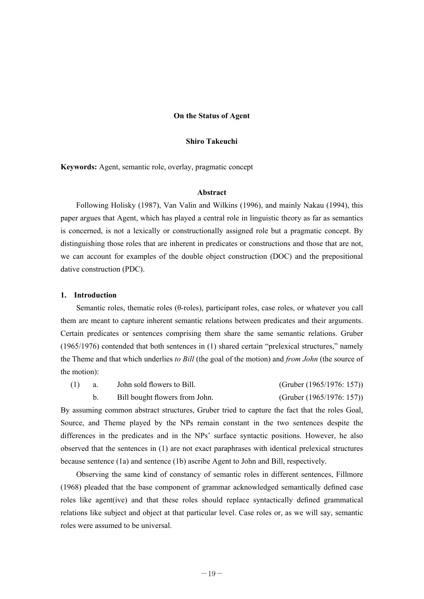## **On the Status of Agent**

### **Shiro Takeuchi**

**Keywords:** Agent, semantic role, overlay, pragmatic concept

# **Abstract**

 Following Holisky (1987), Van Valin and Wilkins (1996), and mainly Nakau (1994), this paper argues that Agent, which has played a central role in linguistic theory as far as semantics is concerned, is not a lexically or constructionally assigned role but a pragmatic concept. By distinguishing those roles that are inherent in predicates or constructions and those that are not, we can account for examples of the double object construction (DOC) and the prepositional dative construction (PDC).

#### **1. Introduction**

 Semantic roles, thematic roles (θ-roles), participant roles, case roles, or whatever you call them are meant to capture inherent semantic relations between predicates and their arguments. Certain predicates or sentences comprising them share the same semantic relations. Gruber (1965/1976) contended that both sentences in (1) shared certain "prelexical structures," namely the Theme and that which underlies *to Bill* (the goal of the motion) and *from John* (the source of the motion):

(1) a. John sold flowers to Bill. (Gruber (1965/1976: 157))

By assuming common abstract structures, Gruber tried to capture the fact that the roles Goal, Source, and Theme played by the NPs remain constant in the two sentences despite the differences in the predicates and in the NPs' surface syntactic positions. However, he also observed that the sentences in (1) are not exact paraphrases with identical prelexical structures because sentence (1a) and sentence (1b) ascribe Agent to John and Bill, respectively.

b. Bill bought flowers from John. (Gruber (1965/1976: 157))

 Observing the same kind of constancy of semantic roles in different sentences, Fillmore (1968) pleaded that the base component of grammar acknowledged semantically defined case roles like agent(ive) and that these roles should replace syntactically defined grammatical relations like subject and object at that particular level. Case roles or, as we will say, semantic roles were assumed to be universal.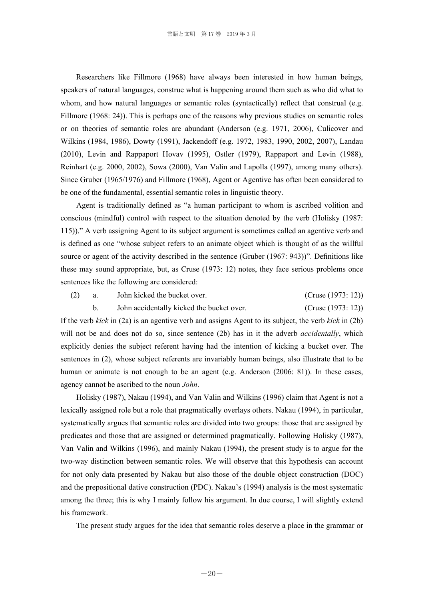Researchers like Fillmore (1968) have always been interested in how human beings, speakers of natural languages, construe what is happening around them such as who did what to whom, and how natural languages or semantic roles (syntactically) reflect that construal (e.g. Fillmore (1968: 24)). This is perhaps one of the reasons why previous studies on semantic roles or on theories of semantic roles are abundant (Anderson (e.g. 1971, 2006), Culicover and Wilkins (1984, 1986), Dowty (1991), Jackendoff (e.g. 1972, 1983, 1990, 2002, 2007), Landau (2010), Levin and Rappaport Hovav (1995), Ostler (1979), Rappaport and Levin (1988), Reinhart (e.g. 2000, 2002), Sowa (2000), Van Valin and Lapolla (1997), among many others). Since Gruber (1965/1976) and Fillmore (1968), Agent or Agentive has often been considered to be one of the fundamental, essential semantic roles in linguistic theory.

 Agent is traditionally defined as "a human participant to whom is ascribed volition and conscious (mindful) control with respect to the situation denoted by the verb (Holisky (1987: 115))." A verb assigning Agent to its subject argument is sometimes called an agentive verb and is defined as one "whose subject refers to an animate object which is thought of as the willful source or agent of the activity described in the sentence (Gruber (1967: 943))". Definitions like these may sound appropriate, but, as Cruse (1973: 12) notes, they face serious problems once sentences like the following are considered:

(2) a. John kicked the bucket over. (Cruse (1973: 12))

b. John accidentally kicked the bucket over. (Cruse (1973: 12))

If the verb *kick* in (2a) is an agentive verb and assigns Agent to its subject, the verb *kick* in (2b) will not be and does not do so, since sentence (2b) has in it the adverb *accidentally*, which explicitly denies the subject referent having had the intention of kicking a bucket over. The sentences in (2), whose subject referents are invariably human beings, also illustrate that to be human or animate is not enough to be an agent (e.g. Anderson (2006: 81)). In these cases, agency cannot be ascribed to the noun *John*.

 Holisky (1987), Nakau (1994), and Van Valin and Wilkins (1996) claim that Agent is not a lexically assigned role but a role that pragmatically overlays others. Nakau (1994), in particular, systematically argues that semantic roles are divided into two groups: those that are assigned by predicates and those that are assigned or determined pragmatically. Following Holisky (1987), Van Valin and Wilkins (1996), and mainly Nakau (1994), the present study is to argue for the two-way distinction between semantic roles. We will observe that this hypothesis can account for not only data presented by Nakau but also those of the double object construction (DOC) and the prepositional dative construction (PDC). Nakau's (1994) analysis is the most systematic among the three; this is why I mainly follow his argument. In due course, I will slightly extend his framework.

The present study argues for the idea that semantic roles deserve a place in the grammar or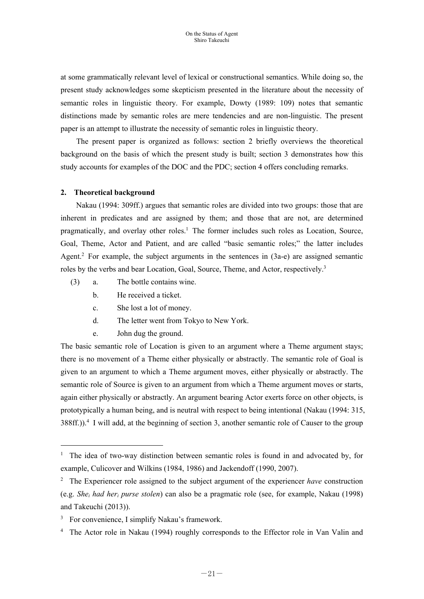at some grammatically relevant level of lexical or constructional semantics. While doing so, the present study acknowledges some skepticism presented in the literature about the necessity of semantic roles in linguistic theory. For example, Dowty (1989: 109) notes that semantic distinctions made by semantic roles are mere tendencies and are non-linguistic. The present paper is an attempt to illustrate the necessity of semantic roles in linguistic theory.

 The present paper is organized as follows: section 2 briefly overviews the theoretical background on the basis of which the present study is built; section 3 demonstrates how this study accounts for examples of the DOC and the PDC; section 4 offers concluding remarks.

# **2. Theoretical background**

Nakau (1994: 309ff.) argues that semantic roles are divided into two groups: those that are inherent in predicates and are assigned by them; and those that are not, are determined pragmatically, and overlay other roles.<sup>1</sup> The former includes such roles as Location, Source, Goal, Theme, Actor and Patient, and are called "basic semantic roles;" the latter includes Agent.<sup>2</sup> For example, the subject arguments in the sentences in (3a-e) are assigned semantic roles by the verbs and bear Location, Goal, Source, Theme, and Actor, respectively.<sup>3</sup>

- (3) a. The bottle contains wine.
	- b. He received a ticket.
	- c. She lost a lot of money.
	- d. The letter went from Tokyo to New York.
	- e. John dug the ground.

The basic semantic role of Location is given to an argument where a Theme argument stays; there is no movement of a Theme either physically or abstractly. The semantic role of Goal is given to an argument to which a Theme argument moves, either physically or abstractly. The semantic role of Source is given to an argument from which a Theme argument moves or starts, again either physically or abstractly. An argument bearing Actor exerts force on other objects, is prototypically a human being, and is neutral with respect to being intentional (Nakau (1994: 315, 388ff.)).<sup>4</sup> I will add, at the beginning of section 3, another semantic role of Causer to the group

 $\overline{a}$ 

<sup>&</sup>lt;sup>1</sup> The idea of two-way distinction between semantic roles is found in and advocated by, for example, Culicover and Wilkins (1984, 1986) and Jackendoff (1990, 2007).

<sup>2</sup> The Experiencer role assigned to the subject argument of the experiencer *have* construction (e.g. *Shei had heri purse stolen*) can also be a pragmatic role (see, for example, Nakau (1998) and Takeuchi (2013)).

<sup>&</sup>lt;sup>3</sup> For convenience, I simplify Nakau's framework.

<sup>&</sup>lt;sup>4</sup> The Actor role in Nakau (1994) roughly corresponds to the Effector role in Van Valin and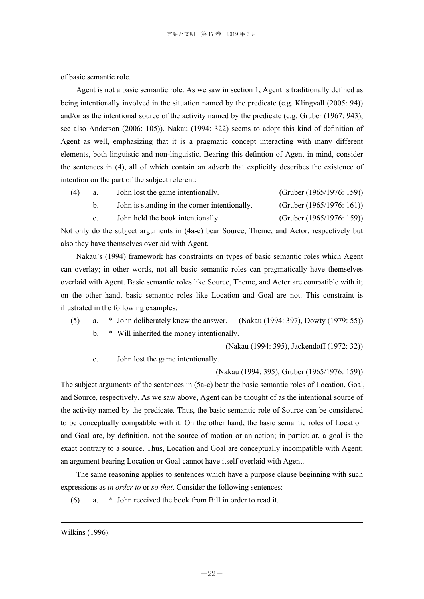of basic semantic role.

 Agent is not a basic semantic role. As we saw in section 1, Agent is traditionally defined as being intentionally involved in the situation named by the predicate (e.g. Klingvall (2005: 94)) and/or as the intentional source of the activity named by the predicate (e.g. Gruber (1967: 943), see also Anderson (2006: 105)). Nakau (1994: 322) seems to adopt this kind of definition of Agent as well, emphasizing that it is a pragmatic concept interacting with many different elements, both linguistic and non-linguistic. Bearing this defintion of Agent in mind, consider the sentences in (4), all of which contain an adverb that explicitly describes the existence of intention on the part of the subject referent:

| (4) | John lost the game intentionally.             | (Gruber (1965/1976: 159))    |
|-----|-----------------------------------------------|------------------------------|
|     | John is standing in the corner intentionally. | (Gruber $(1965/1976: 161)$ ) |
|     | John held the book intentionally.             | (Gruber $(1965/1976: 159)$ ) |

Not only do the subject arguments in (4a-c) bear Source, Theme, and Actor, respectively but also they have themselves overlaid with Agent.

Nakau's (1994) framework has constraints on types of basic semantic roles which Agent can overlay; in other words, not all basic semantic roles can pragmatically have themselves overlaid with Agent. Basic semantic roles like Source, Theme, and Actor are compatible with it; on the other hand, basic semantic roles like Location and Goal are not. This constraint is illustrated in the following examples:

 (5) a. \* John deliberately knew the answer. (Nakau (1994: 397), Dowty (1979: 55)) b. \* Will inherited the money intentionally.

(Nakau (1994: 395), Jackendoff (1972: 32))

c. John lost the game intentionally.

(Nakau (1994: 395), Gruber (1965/1976: 159))

The subject arguments of the sentences in (5a-c) bear the basic semantic roles of Location, Goal, and Source, respectively. As we saw above, Agent can be thought of as the intentional source of the activity named by the predicate. Thus, the basic semantic role of Source can be considered to be conceptually compatible with it. On the other hand, the basic semantic roles of Location and Goal are, by definition, not the source of motion or an action; in particular, a goal is the exact contrary to a source. Thus, Location and Goal are conceptually incompatible with Agent; an argument bearing Location or Goal cannot have itself overlaid with Agent.

 The same reasoning applies to sentences which have a purpose clause beginning with such expressions as *in order to* or *so that*. Consider the following sentences:

(6) a. \* John received the book from Bill in order to read it.

1

Wilkins (1996).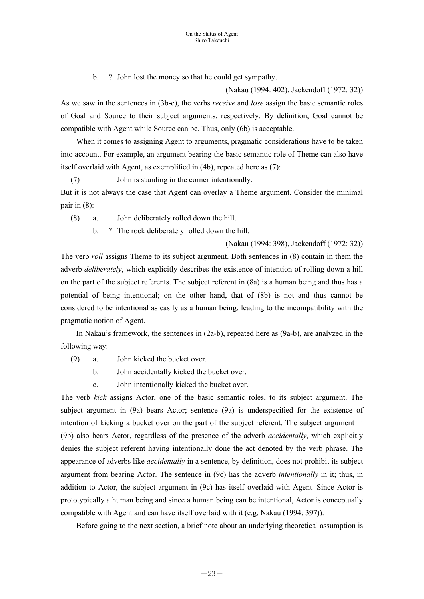b. ? John lost the money so that he could get sympathy.

(Nakau (1994: 402), Jackendoff (1972: 32))

As we saw in the sentences in (3b-c), the verbs *receive* and *lose* assign the basic semantic roles of Goal and Source to their subject arguments, respectively. By definition, Goal cannot be compatible with Agent while Source can be. Thus, only (6b) is acceptable.

 When it comes to assigning Agent to arguments, pragmatic considerations have to be taken into account. For example, an argument bearing the basic semantic role of Theme can also have itself overlaid with Agent, as exemplified in (4b), repeated here as (7):

(7) John is standing in the corner intentionally.

But it is not always the case that Agent can overlay a Theme argument. Consider the minimal pair in (8):

(8) a. John deliberately rolled down the hill.

b. \* The rock deliberately rolled down the hill.

(Nakau (1994: 398), Jackendoff (1972: 32))

The verb *roll* assigns Theme to its subject argument. Both sentences in (8) contain in them the adverb *deliberately*, which explicitly describes the existence of intention of rolling down a hill on the part of the subject referents. The subject referent in (8a) is a human being and thus has a potential of being intentional; on the other hand, that of (8b) is not and thus cannot be considered to be intentional as easily as a human being, leading to the incompatibility with the pragmatic notion of Agent.

In Nakau's framework, the sentences in (2a-b), repeated here as (9a-b), are analyzed in the following way:

(9) a. John kicked the bucket over.

b. John accidentally kicked the bucket over.

c. John intentionally kicked the bucket over.

The verb *kick* assigns Actor, one of the basic semantic roles, to its subject argument. The subject argument in (9a) bears Actor; sentence (9a) is underspecified for the existence of intention of kicking a bucket over on the part of the subject referent. The subject argument in (9b) also bears Actor, regardless of the presence of the adverb *accidentally*, which explicitly denies the subject referent having intentionally done the act denoted by the verb phrase. The appearance of adverbs like *accidentally* in a sentence, by definition, does not prohibit its subject argument from bearing Actor. The sentence in (9c) has the adverb *intentionally* in it; thus, in addition to Actor, the subject argument in (9c) has itself overlaid with Agent. Since Actor is prototypically a human being and since a human being can be intentional, Actor is conceptually compatible with Agent and can have itself overlaid with it (e.g. Nakau (1994: 397)).

Before going to the next section, a brief note about an underlying theoretical assumption is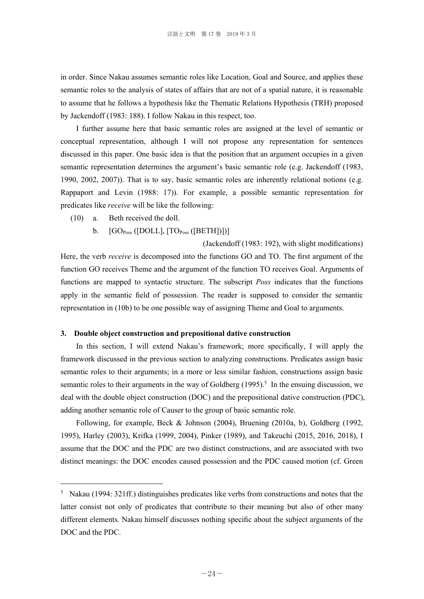in order. Since Nakau assumes semantic roles like Location, Goal and Source, and applies these semantic roles to the analysis of states of affairs that are not of a spatial nature, it is reasonable to assume that he follows a hypothesis like the Thematic Relations Hypothesis (TRH) proposed by Jackendoff (1983: 188). I follow Nakau in this respect, too.

 I further assume here that basic semantic roles are assigned at the level of semantic or conceptual representation, although I will not propose any representation for sentences discussed in this paper. One basic idea is that the position that an argument occupies in a given semantic representation determines the argument's basic semantic role (e.g. Jackendoff (1983, 1990, 2002, 2007)). That is to say, basic semantic roles are inherently relational notions (e.g. Rappaport and Levin (1988: 17)). For example, a possible semantic representation for predicates like *receive* will be like the following:

(10) a. Beth received the doll.

 $\overline{a}$ 

b.  $[GO<sub>Poss</sub>([DOLL], [TO<sub>Poss</sub>([BETH])])]$ 

(Jackendoff (1983: 192), with slight modifications) Here, the verb *receive* is decomposed into the functions GO and TO. The first argument of the function GO receives Theme and the argument of the function TO receives Goal. Arguments of functions are mapped to syntactic structure. The subscript *Poss* indicates that the functions apply in the semantic field of possession. The reader is supposed to consider the semantic representation in (10b) to be one possible way of assigning Theme and Goal to arguments.

### **3. Double object construction and prepositional dative construction**

 In this section, I will extend Nakau's framework; more specifically, I will apply the framework discussed in the previous section to analyzing constructions. Predicates assign basic semantic roles to their arguments; in a more or less similar fashion, constructions assign basic semantic roles to their arguments in the way of Goldberg  $(1995)^5$  In the ensuing discussion, we deal with the double object construction (DOC) and the prepositional dative construction (PDC), adding another semantic role of Causer to the group of basic semantic role.

 Following, for example, Beck & Johnson (2004), Bruening (2010a, b), Goldberg (1992, 1995), Harley (2003), Krifka (1999, 2004), Pinker (1989), and Takeuchi (2015, 2016, 2018), I assume that the DOC and the PDC are two distinct constructions, and are associated with two distinct meanings: the DOC encodes caused possession and the PDC caused motion (cf. Green

<sup>&</sup>lt;sup>5</sup> Nakau (1994: 321ff.) distinguishes predicates like verbs from constructions and notes that the latter consist not only of predicates that contribute to their meaning but also of other many different elements. Nakau himself discusses nothing specific about the subject arguments of the DOC and the PDC.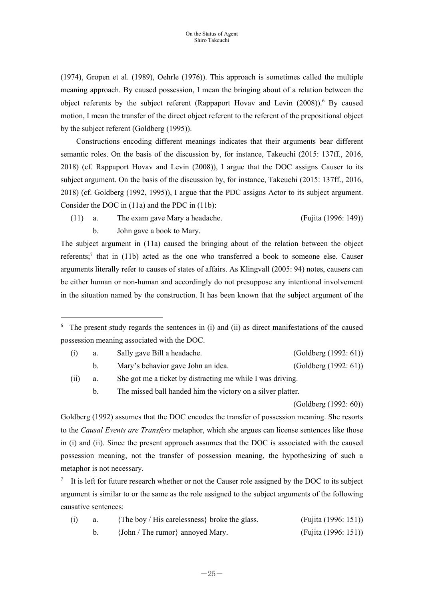(1974), Gropen et al. (1989), Oehrle (1976)). This approach is sometimes called the multiple meaning approach. By caused possession, I mean the bringing about of a relation between the object referents by the subject referent (Rappaport Hovav and Levin (2008)).<sup>6</sup> By caused motion, I mean the transfer of the direct object referent to the referent of the prepositional object by the subject referent (Goldberg (1995)).

 Constructions encoding different meanings indicates that their arguments bear different semantic roles. On the basis of the discussion by, for instance, Takeuchi (2015: 137ff., 2016, 2018) (cf. Rappaport Hovav and Levin (2008)), I argue that the DOC assigns Causer to its subject argument. On the basis of the discussion by, for instance, Takeuchi (2015: 137ff., 2016, 2018) (cf. Goldberg (1992, 1995)), I argue that the PDC assigns Actor to its subject argument. Consider the DOC in (11a) and the PDC in (11b):

 (11) a. The exam gave Mary a headache. (Fujita (1996: 149)) b. John gave a book to Mary.

The subject argument in (11a) caused the bringing about of the relation between the object referents;<sup>7</sup> that in (11b) acted as the one who transferred a book to someone else. Causer arguments literally refer to causes of states of affairs. As Klingvall (2005: 94) notes, causers can be either human or non-human and accordingly do not presuppose any intentional involvement in the situation named by the construction. It has been known that the subject argument of the

 $6$  The present study regards the sentences in (i) and (ii) as direct manifestations of the caused possession meaning associated with the DOC.

|      | Sally gave Bill a headache.                                | (Goldberg (1992: 61)) |
|------|------------------------------------------------------------|-----------------------|
|      | Mary's behavior gave John an idea.                         | (Goldberg (1992: 61)) |
| (11) | She got me a ticket by distracting me while I was driving. |                       |

b. The missed ball handed him the victory on a silver platter.

 $\overline{a}$ 

(Goldberg (1992: 60))

Goldberg (1992) assumes that the DOC encodes the transfer of possession meaning. She resorts to the *Causal Events are Transfers* metaphor, which she argues can license sentences like those in (i) and (ii). Since the present approach assumes that the DOC is associated with the caused possession meaning, not the transfer of possession meaning, the hypothesizing of such a metaphor is not necessary.

7 It is left for future research whether or not the Causer role assigned by the DOC to its subject argument is similar to or the same as the role assigned to the subject arguments of the following causative sentences:

|  | {The boy / His carelessness} broke the glass. | (Fujita (1996: 151)) |
|--|-----------------------------------------------|----------------------|
|  | {John / The rumor} annoyed Mary.              | (Fujita (1996: 151)) |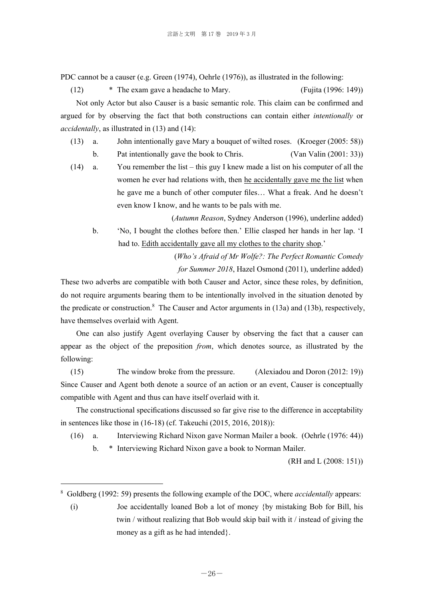PDC cannot be a causer (e.g. Green (1974), Oehrle (1976)), as illustrated in the following:

 (12) \* The exam gave a headache to Mary. (Fujita (1996: 149)) Not only Actor but also Causer is a basic semantic role. This claim can be confirmed and argued for by observing the fact that both constructions can contain either *intentionally* or *accidentally*, as illustrated in (13) and (14):

(13) a. John intentionally gave Mary a bouquet of wilted roses. (Kroeger (2005: 58))

b. Pat intentionally gave the book to Chris. (Van Valin (2001: 33))

 (14) a. You remember the list – this guy I knew made a list on his computer of all the women he ever had relations with, then he accidentally gave me the list when he gave me a bunch of other computer files… What a freak. And he doesn't even know I know, and he wants to be pals with me.

 (*Autumn Reason*, Sydney Anderson (1996), underline added) b. 'No, I bought the clothes before then.' Ellie clasped her hands in her lap. 'I had to. Edith accidentally gave all my clothes to the charity shop.'

> (*Who's Afraid of Mr Wolfe?: The Perfect Romantic Comedy for Summer 2018*, Hazel Osmond (2011), underline added)

These two adverbs are compatible with both Causer and Actor, since these roles, by definition, do not require arguments bearing them to be intentionally involved in the situation denoted by the predicate or construction.<sup>8</sup> The Causer and Actor arguments in  $(13a)$  and  $(13b)$ , respectively, have themselves overlaid with Agent.

 One can also justify Agent overlaying Causer by observing the fact that a causer can appear as the object of the preposition *from*, which denotes source, as illustrated by the following:

 (15) The window broke from the pressure. (Alexiadou and Doron (2012: 19)) Since Causer and Agent both denote a source of an action or an event, Causer is conceptually compatible with Agent and thus can have itself overlaid with it.

The constructional specifications discussed so far give rise to the difference in acceptability in sentences like those in (16-18) (cf. Takeuchi (2015, 2016, 2018)):

(16) a. Interviewing Richard Nixon gave Norman Mailer a book. (Oehrle (1976: 44))

b. \* Interviewing Richard Nixon gave a book to Norman Mailer.

(RH and L (2008: 151))

 $\overline{a}$ 

<sup>8</sup> Goldberg (1992: 59) presents the following example of the DOC, where *accidentally* appears:

 <sup>(</sup>i) Joe accidentally loaned Bob a lot of money {by mistaking Bob for Bill, his twin / without realizing that Bob would skip bail with it / instead of giving the money as a gift as he had intended.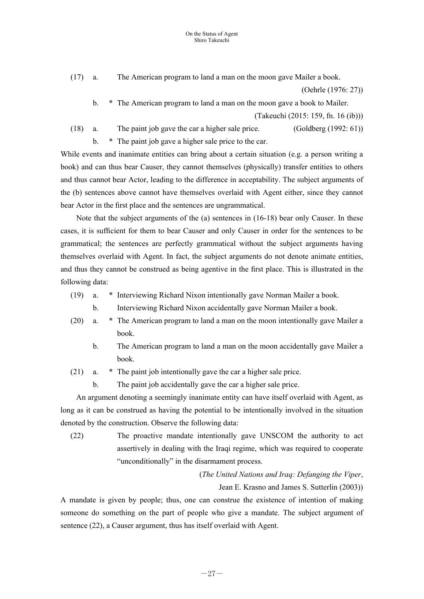(17) a. The American program to land a man on the moon gave Mailer a book.

(Oehrle (1976: 27))

b. \* The American program to land a man on the moon gave a book to Mailer.

(Takeuchi (2015: 159, fn. 16 (ib)))

(18) a. The paint job gave the car a higher sale price. (Goldberg (1992: 61))

b. \* The paint job gave a higher sale price to the car.

While events and inanimate entities can bring about a certain situation (e.g. a person writing a book) and can thus bear Causer, they cannot themselves (physically) transfer entities to others and thus cannot bear Actor, leading to the difference in acceptability. The subject arguments of the (b) sentences above cannot have themselves overlaid with Agent either, since they cannot bear Actor in the first place and the sentences are ungrammatical.

 Note that the subject arguments of the (a) sentences in (16-18) bear only Causer. In these cases, it is sufficient for them to bear Causer and only Causer in order for the sentences to be grammatical; the sentences are perfectly grammatical without the subject arguments having themselves overlaid with Agent. In fact, the subject arguments do not denote animate entities, and thus they cannot be construed as being agentive in the first place. This is illustrated in the following data:

- (19) a. \* Interviewing Richard Nixon intentionally gave Norman Mailer a book.
	- b. Interviewing Richard Nixon accidentally gave Norman Mailer a book.
- (20) a. \* The American program to land a man on the moon intentionally gave Mailer a book.
	- b. The American program to land a man on the moon accidentally gave Mailer a book.
- (21) a. \* The paint job intentionally gave the car a higher sale price.
	- b. The paint job accidentally gave the car a higher sale price.

 An argument denoting a seemingly inanimate entity can have itself overlaid with Agent, as long as it can be construed as having the potential to be intentionally involved in the situation denoted by the construction. Observe the following data:

 (22) The proactive mandate intentionally gave UNSCOM the authority to act assertively in dealing with the Iraqi regime, which was required to cooperate "unconditionally" in the disarmament process.

> (*The United Nations and Iraq: Defanging the Viper*, Jean E. Krasno and James S. Sutterlin (2003))

A mandate is given by people; thus, one can construe the existence of intention of making someone do something on the part of people who give a mandate. The subject argument of sentence (22), a Causer argument, thus has itself overlaid with Agent.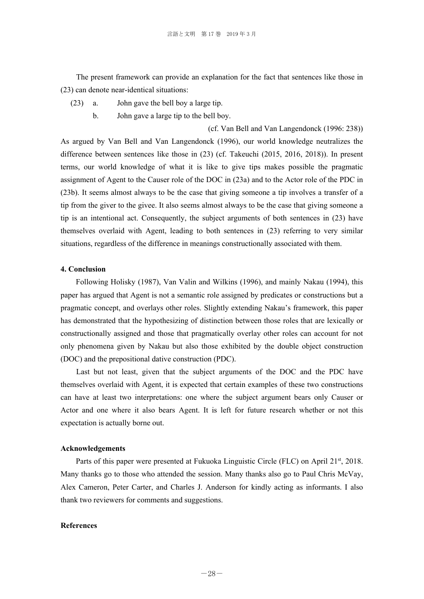The present framework can provide an explanation for the fact that sentences like those in (23) can denote near-identical situations:

- (23) a. John gave the bell boy a large tip.
	- b. John gave a large tip to the bell boy.

(cf. Van Bell and Van Langendonck (1996: 238)) As argued by Van Bell and Van Langendonck (1996), our world knowledge neutralizes the difference between sentences like those in (23) (cf. Takeuchi (2015, 2016, 2018)). In present terms, our world knowledge of what it is like to give tips makes possible the pragmatic assignment of Agent to the Causer role of the DOC in (23a) and to the Actor role of the PDC in (23b). It seems almost always to be the case that giving someone a tip involves a transfer of a tip from the giver to the givee. It also seems almost always to be the case that giving someone a tip is an intentional act. Consequently, the subject arguments of both sentences in (23) have themselves overlaid with Agent, leading to both sentences in (23) referring to very similar situations, regardless of the difference in meanings constructionally associated with them.

### **4. Conclusion**

Following Holisky (1987), Van Valin and Wilkins (1996), and mainly Nakau (1994), this paper has argued that Agent is not a semantic role assigned by predicates or constructions but a pragmatic concept, and overlays other roles. Slightly extending Nakau's framework, this paper has demonstrated that the hypothesizing of distinction between those roles that are lexically or constructionally assigned and those that pragmatically overlay other roles can account for not only phenomena given by Nakau but also those exhibited by the double object construction (DOC) and the prepositional dative construction (PDC).

 Last but not least, given that the subject arguments of the DOC and the PDC have themselves overlaid with Agent, it is expected that certain examples of these two constructions can have at least two interpretations: one where the subject argument bears only Causer or Actor and one where it also bears Agent. It is left for future research whether or not this expectation is actually borne out.

### **Acknowledgements**

Parts of this paper were presented at Fukuoka Linguistic Circle (FLC) on April 21<sup>st</sup>, 2018. Many thanks go to those who attended the session. Many thanks also go to Paul Chris McVay, Alex Cameron, Peter Carter, and Charles J. Anderson for kindly acting as informants. I also thank two reviewers for comments and suggestions.

## **References**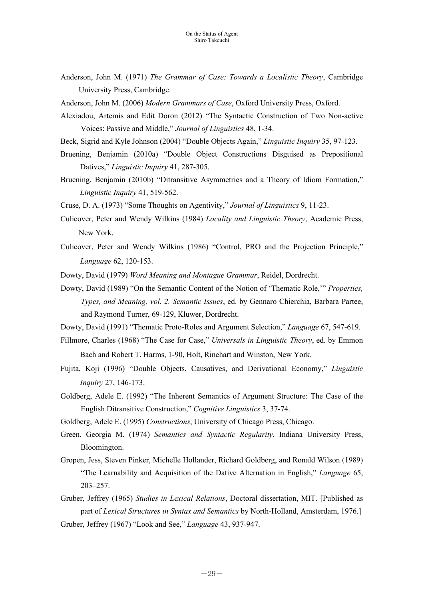- Anderson, John M. (1971) *The Grammar of Case: Towards a Localistic Theory*, Cambridge University Press, Cambridge.
- Anderson, John M. (2006) *Modern Grammars of Case*, Oxford University Press, Oxford.
- Alexiadou, Artemis and Edit Doron (2012) "The Syntactic Construction of Two Non-active Voices: Passive and Middle," *Journal of Linguistics* 48, 1-34.
- Beck, Sigrid and Kyle Johnson (2004) "Double Objects Again," *Linguistic Inquiry* 35, 97-123.
- Bruening, Benjamin (2010a) "Double Object Constructions Disguised as Prepositional Datives," *Linguistic Inquiry* 41, 287-305.
- Bruening, Benjamin (2010b) "Ditransitive Asymmetries and a Theory of Idiom Formation," *Linguistic Inquiry* 41, 519-562.
- Cruse, D. A. (1973) "Some Thoughts on Agentivity," *Journal of Linguistics* 9, 11-23.
- Culicover, Peter and Wendy Wilkins (1984) *Locality and Linguistic Theory*, Academic Press, New York.
- Culicover, Peter and Wendy Wilkins (1986) "Control, PRO and the Projection Principle," *Language* 62, 120-153.
- Dowty, David (1979) *Word Meaning and Montague Grammar*, Reidel, Dordrecht.
- Dowty, David (1989) "On the Semantic Content of the Notion of 'Thematic Role,'" *Properties, Types, and Meaning, vol. 2. Semantic Issues*, ed. by Gennaro Chierchia, Barbara Partee, and Raymond Turner, 69-129, Kluwer, Dordrecht.
- Dowty, David (1991) "Thematic Proto-Roles and Argument Selection," *Language* 67, 547-619.
- Fillmore, Charles (1968) "The Case for Case," *Universals in Linguistic Theory*, ed. by Emmon Bach and Robert T. Harms, 1-90, Holt, Rinehart and Winston, New York.
- Fujita, Koji (1996) "Double Objects, Causatives, and Derivational Economy," *Linguistic Inquiry* 27, 146-173.
- Goldberg, Adele E. (1992) "The Inherent Semantics of Argument Structure: The Case of the English Ditransitive Construction," *Cognitive Linguistics* 3, 37-74.
- Goldberg, Adele E. (1995) *Constructions*, University of Chicago Press, Chicago.
- Green, Georgia M. (1974) *Semantics and Syntactic Regularity*, Indiana University Press, Bloomington.
- Gropen, Jess, Steven Pinker, Michelle Hollander, Richard Goldberg, and Ronald Wilson (1989) "The Learnability and Acquisition of the Dative Alternation in English," *Language* 65, 203–257.
- Gruber, Jeffrey (1965) *Studies in Lexical Relations*, Doctoral dissertation, MIT. [Published as part of *Lexical Structures in Syntax and Semantics* by North-Holland, Amsterdam, 1976.] Gruber, Jeffrey (1967) "Look and See," *Language* 43, 937-947.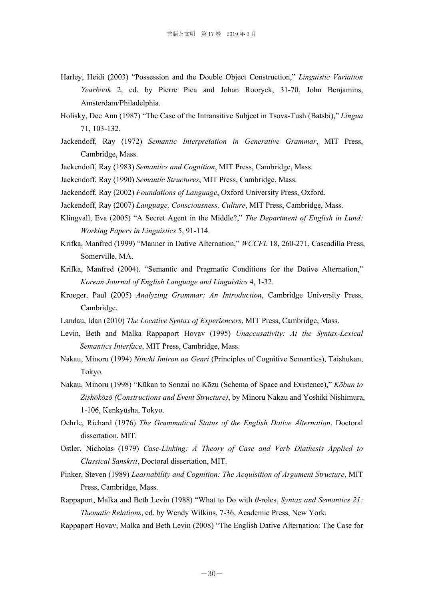- Harley, Heidi (2003) "Possession and the Double Object Construction," *Linguistic Variation Yearbook* 2, ed. by Pierre Pica and Johan Rooryck, 31-70, John Benjamins, Amsterdam/Philadelphia.
- Holisky, Dee Ann (1987) "The Case of the Intransitive Subject in Tsova-Tush (Batsbi)," *Lingua* 71, 103-132.
- Jackendoff, Ray (1972) *Semantic Interpretation in Generative Grammar*, MIT Press, Cambridge, Mass.
- Jackendoff, Ray (1983) *Semantics and Cognition*, MIT Press, Cambridge, Mass.
- Jackendoff, Ray (1990) *Semantic Structures*, MIT Press, Cambridge, Mass.
- Jackendoff, Ray (2002) *Foundations of Language*, Oxford University Press, Oxford.
- Jackendoff, Ray (2007) *Language, Consciousness, Culture*, MIT Press, Cambridge, Mass.
- Klingvall, Eva (2005) "A Secret Agent in the Middle?," *The Department of English in Lund: Working Papers in Linguistics* 5, 91-114.
- Krifka, Manfred (1999) "Manner in Dative Alternation," *WCCFL* 18, 260-271, Cascadilla Press, Somerville, MA.
- Krifka, Manfred (2004). "Semantic and Pragmatic Conditions for the Dative Alternation," *Korean Journal of English Language and Linguistics* 4, 1-32.
- Kroeger, Paul (2005) *Analyzing Grammar: An Introduction*, Cambridge University Press, Cambridge.
- Landau, Idan (2010) *The Locative Syntax of Experiencers*, MIT Press, Cambridge, Mass.
- Levin, Beth and Malka Rappaport Hovav (1995) *Unaccusativity: At the Syntax-Lexical Semantics Interface*, MIT Press, Cambridge, Mass.
- Nakau, Minoru (1994) *Ninchi Imiron no Genri* (Principles of Cognitive Semantics), Taishukan, Tokyo.
- Nakau, Minoru (1998) "Kūkan to Sonzai no Kōzu (Schema of Space and Existence)," *Kōbun to Zishōkōzō (Constructions and Event Structure)*, by Minoru Nakau and Yoshiki Nishimura, 1-106, Kenkyūsha, Tokyo.
- Oehrle, Richard (1976) *The Grammatical Status of the English Dative Alternation*, Doctoral dissertation, MIT.
- Ostler, Nicholas (1979) *Case-Linking: A Theory of Case and Verb Diathesis Applied to Classical Sanskrit*, Doctoral dissertation, MIT.
- Pinker, Steven (1989) *Learnability and Cognition: The Acquisition of Argument Structure*, MIT Press, Cambridge, Mass.
- Rappaport, Malka and Beth Levin (1988) "What to Do with *θ*-roles, *Syntax and Semantics 21: Thematic Relations*, ed. by Wendy Wilkins, 7-36, Academic Press, New York.
- Rappaport Hovav, Malka and Beth Levin (2008) "The English Dative Alternation: The Case for